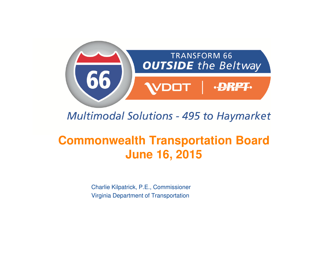

#### **Multimodal Solutions - 495 to Haymarket**

### **Commonwealth Transportation BoardJune 16, 2015**

Charlie Kilpatrick, P.E., CommissionerVirginia Department of Transportation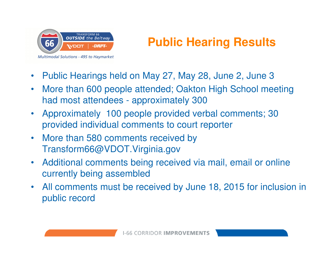

**Multimodal Solutions - 495 to Haymarket** 

# **Public Hearing Results**

- •Public Hearings held on May 27, May 28, June 2, June 3
- • More than 600 people attended; Oakton High School meeting had most attendees - approximately 300
- • Approximately 100 people provided verbal comments; 30 provided individual comments to court reporter
- $\bullet$  More than 580 comments received by Transform66@VDOT.Virginia.gov
- • Additional comments being received via mail, email or online currently being assembled
- All comments must be received by June 18, 2015 for inclusion in public record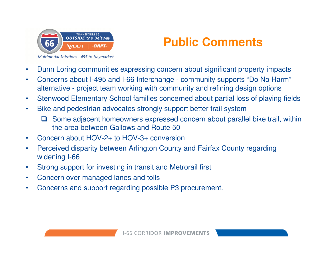

#### **Public Comments**

- $\bullet$ Dunn Loring communities expressing concern about significant property impacts
- $\bullet$  Concerns about I-495 and I-66 Interchange - community supports "Do No Harm" alternative - project team working with community and refining design options
- $\bullet$ Stenwood Elementary School families concerned about partial loss of playing fields
- $\bullet$  Bike and pedestrian advocates strongly support better trail system
	- $\Box$  Some adjacent homeowners expressed concern about parallel bike trail, within the area between Gallows and Boute 50. the area between Gallows and Route 50
- •Concern about HOV-2+ to HOV-3+ conversion
- • Perceived disparity between Arlington County and Fairfax County regarding widening I-66
- $\bullet$ Strong support for investing in transit and Metrorail first
- $\bullet$ Concern over managed lanes and tolls
- •Concerns and support regarding possible P3 procurement.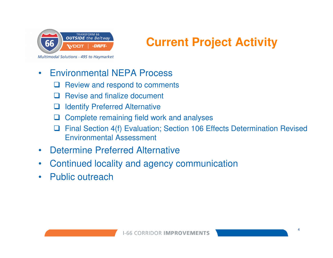

## **Current Project Activity**

#### •Environmental NEPA Process

- **Q** Review and respond to comments  $\Box$
- $\Box$ Revise and finalize document
- ப Identify Preferred Alternative
- $\Box$ Complete remaining field work and analyses
- $\Box$  Final Section 4(f) Evaluation; Section 106 Effects Determination Revised Environmental Assessment
- •Determine Preferred Alternative
- •Continued locality and agency communication
- •Public outreach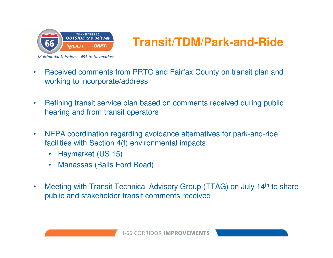

## **Transit/TDM/Park-and-Ride**

- $\bullet$  Received comments from PRTC and Fairfax County on transit plan and working to incorporate/address
- $\bullet$  Refining transit service plan based on comments received during public hearing and from transit operators
- $\bullet$  NEPA coordination regarding avoidance alternatives for park-and-ride facilities with Section 4(f) environmental impacts
	- $\bullet$ Haymarket (US 15)
	- •Manassas (Balls Ford Road)
- $\bullet$ Meeting with Transit Technical Advisory Group (TTAG) on July 14<sup>th</sup> to share public and stakeholder transit comments received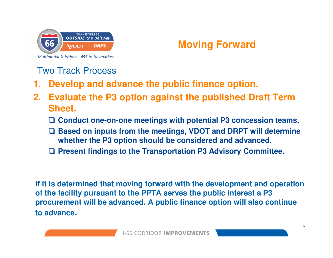

#### **Moving Forward**

Two Track Process

- **1. Develop and advance the public finance option.**
- **2. Evaluate the P3 option against the published Draft Term Sheet.**
	- **Conduct one-on-one meetings with potential P3 concession teams.**
	- **Based on inputs from the meetings, VDOT and DRPT will determine whether the P3 option should be considered and advanced.**
	- **Present findings to the Transportation P3 Advisory Committee.**

**If it is determined that moving forward with the development and operation of the facility pursuant to the PPTA serves the public interest a P3 procurement will be advanced. A public finance option will also continue to advance.**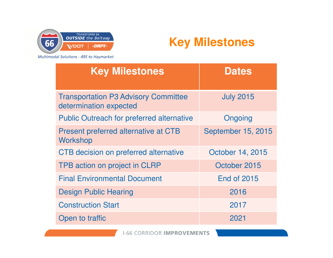

#### **Key Milestones**

Multimodal Solutions - 495 to Haymarket

| <b>Key Milestones</b>                                                 | <b>Dates</b>       |
|-----------------------------------------------------------------------|--------------------|
| <b>Transportation P3 Advisory Committee</b><br>determination expected | <b>July 2015</b>   |
| <b>Public Outreach for preferred alternative</b>                      | Ongoing            |
| Present preferred alternative at CTB<br>Workshop                      | September 15, 2015 |
| <b>CTB</b> decision on preferred alternative                          | October 14, 2015   |
| TPB action on project in CLRP                                         | October 2015       |
| <b>Final Environmental Document</b>                                   | <b>End of 2015</b> |
| <b>Design Public Hearing</b>                                          | 2016               |
| <b>Construction Start</b>                                             | 2017               |
| Open to traffic                                                       | 2021               |